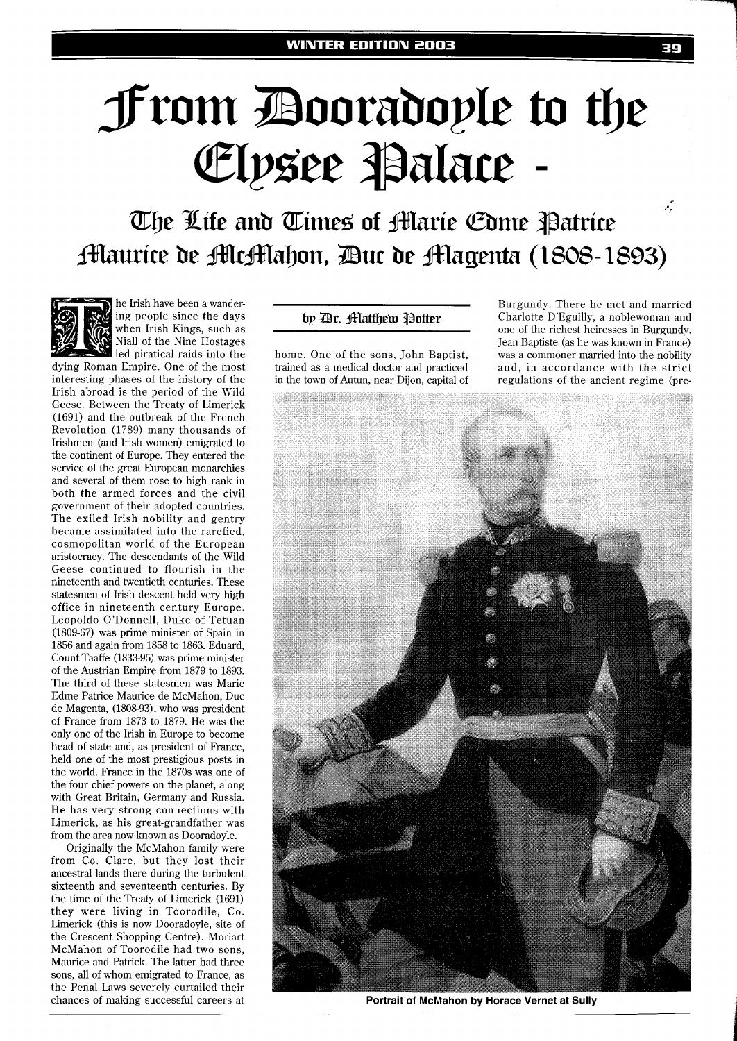## **From Booradople to the** Elpsee Palace

م.<br>م The Life and Times of Alarie Come Patrice **Maurice de McMahon, Duc de Magenta (1808-1893)** 



he Irish have been a wandering people since the days when Irish Kings, such as Niall of the Nine Hostages led piratical raids into the

dying Roman Empire. One of the most interesting phases of the history of the Irish abroad is the period of the Wild Geese. Between the Treaty of Limerick (1691) and the outbreak of the French Revolution (1789) many thousands of Irishmen (and Irish women) emigrated to the continent of Europe. They entered the service of the great European monarchies and several of them rose to high rank in both the armed forces and the civil government of their adopted countries. The exiled Irish nobility and gentry became assimilated into the rarefied, cosmopolitan world of the European aristocracy. The descendants of the Wild Geese continued to flourish in the nineteenth and twentieth centuries. These statesmen of Irish descent held very high office in nineteenth century Europe. Leopoldo O'Donnell, Duke of Tetuan  $(1809-67)$  was prime minister of Spain in 1856 and again from 1858 to 1863. Eduard, Count Taaffe (1833-95) was prime minister of the Austrian Empire from 1879 to 1893. The third of these statesmen was Marie Edme Patrice Maurice de McMahon, Duc de Magenta, (1808-93), who was president of France from 1873 to 1879. He was the only one of the Irish in Europe to become head of state and, as president of France, held one of the most prestigious posts in the world. France in the 1870s was one of the four chief powers on the planet, along with Great Britain, Germany and Russia. He has very strong connections with Limerick, as his great-grandfather was from the area now known as Dooradoyle.

Originally the McMahon family were from Co. Clare, but they lost their ancestral lands there during the turbulent sixteenth and seventeenth centuries. By the time of the Treaty of Limerick (1691) they were living in Toorodile, Co. Limerick (this is now Dooradoyle, site of the Crescent Shopping Centre). Moriart McMahon of Toorodile had two sons. Maurice and Patrick. The latter had three sons, all of whom emigrated to France, as the Penal Laws severely curtailed their chances of making successful careers at by *Dr.* Matthew Potter

home. One of the sons, John Baptist, trained as a medical doctor and practiced in the town of Autun, near Dijon, capital of

Burgundy. There he met and married Charlotte D'Eguilly, a noblewoman and one of the richest heiresses in Burgundy. Jean Baptiste (as he was known in France) was a commoner married into the nobility and, in accordance with the strict regulations of the ancient regime (pre-

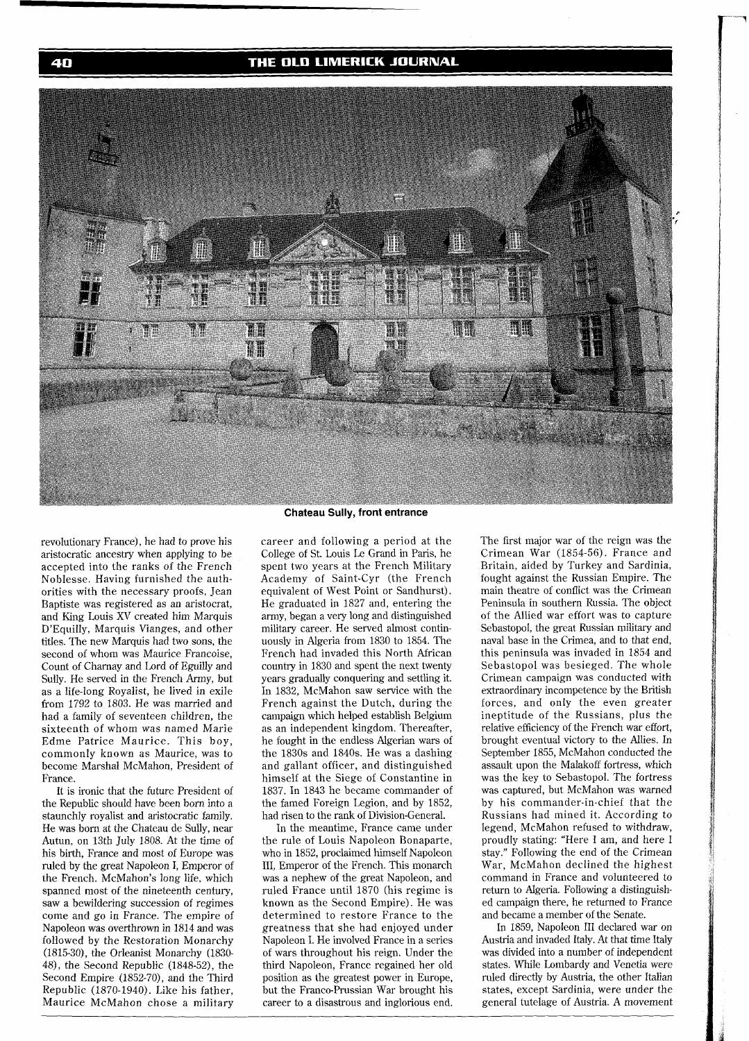THE OLD LIMERICK JOURNAL



revolutionary France), he had to prove his aristocratic ancestry when applying to be accepted into the ranks of the French Noblesse. Having furnished the authorities with the necessary proofs, Jean Baptiste was registered as an aristocrat, and King Louis XV created him Marquis D'Equilly, Marquis Vianges, and other titles. The new Marquis had two sons, the second of whom was Maurice Francoise, Count of Charnay and Lord of Eguilly and Sully. He served in the French Army, but as a life-long Royalist, he lived in exile from 1792 to 1803. He was married and had a family of seventeen children, the sixteenth of whom was named Marie Edme Patrice Maurice. This boy, commonly known as Maurice, was to become Marshal McMahon, President of France.

It is ironic that the future President of the Republic should have been born into a staunchly royalist and aristocratic family. He was born at the Chateau de Sully, near Autun, on 13th July 1808. At the time of his birth, France and most of Europe was ruled by the great Napoleon I, Emperor of the French. McMahon's long life, which spanned most of the nineteenth century, saw a bewildering succession of regimes come and go in France. The empire of Napoleon was overthrown in 1814 and was followed by the Restoration Monarchy (1815-30), the Orleanist Monarchy (1830- 48), the Second Republic (1848-52), the Second Empire (1852-70), and the Third Republic (1870-1940). Like his father, Maurice McMahon chose a military **Chateau Sully, front entrance** 

career and following a period at the College of St. Louis Le Grand in Paris, he spent two years at the French Military Academy of Saint-Cyr (the French equivalent of West Point or Sandhurst). He graduated in 1827 and, entering the army, began a very long and distinguished military career. He served almost continuously in Algeria from 1830 to 1854. The French had invaded this North African country in 1830 and spent the next twenty years gradually conquering and settling it. In 1832, McMahon saw service with the French against the Dutch, during the campaign which helped establish Belgium as an independent kingdom. Thereafter, he fought in the endless Algerian wars of the 1830s and 1840s. He was a dashing and gallant officer, and distinguished himself at the Siege of Constantine in 1837. In 1843 he became commander of the famed Foreign Legion, and by 1852, had risen to the rank of Division-General.

In the meantime, France came under the rule of Louis Napoleon Bonaparte, who in 1852, proclaimed himself Napoleon 111, Emperor of the French. This monarch was a nephew of the great Napoleon, and ruled France until 1870 (his regime is known as the Second Empire). He was determined to restore France to the greatness that she had enjoyed under Napoleon I. He involved France in a series of wars throughout his reign. Under the third Napoleon, France regained her old position as the greatest power in Europe, but the Franco-Prussian War brought his career to a disastrous and inglorious end.

The first major war of the reign was the Crimean War (1854-56). France and Britain, aided by Turkey and Sardinia, fought against the Russian Empire. The main theatre of conflict was the Crimean Peninsula in southern Russia. The object of the Allied war effort was to capture Sebastopol, the great Russian military and naval base in the Crimea, and to that end, this peninsula was invaded in 1854 and Sebastopol was besieged. The whole Crimean campaign was conducted with extraordinary incompetence by the British forces, and only the even greater ineptitude of the Russians, plus the relative efficiency of the French war effort, brought eventual victory to the Allies. In September 1855, McMahon conducted the assault upon the Malakoff fortress, which was the key to Sebastopol. The fortress was captured, but McMahon was warned by his commander-in-chief that the Russians had mined it. According to legend, McMahon refused to withdraw, proudly stating: "Here I am, and here I stay." Following the end of the Crimean War, McMahon declined the highest command in France and volunteered to return to Algeria. Following a distinguished campaign there, he returned to France and became a member of the Senate.

In 1859, Napoleon I11 declared war on Austria and invaded Italy. At that time Italy was divided into a number of independent states. While Lombardy and Venetia were ruled directly by Austria, the other Italian states, except Sardinia, were under the general tutelage of Austria. A movement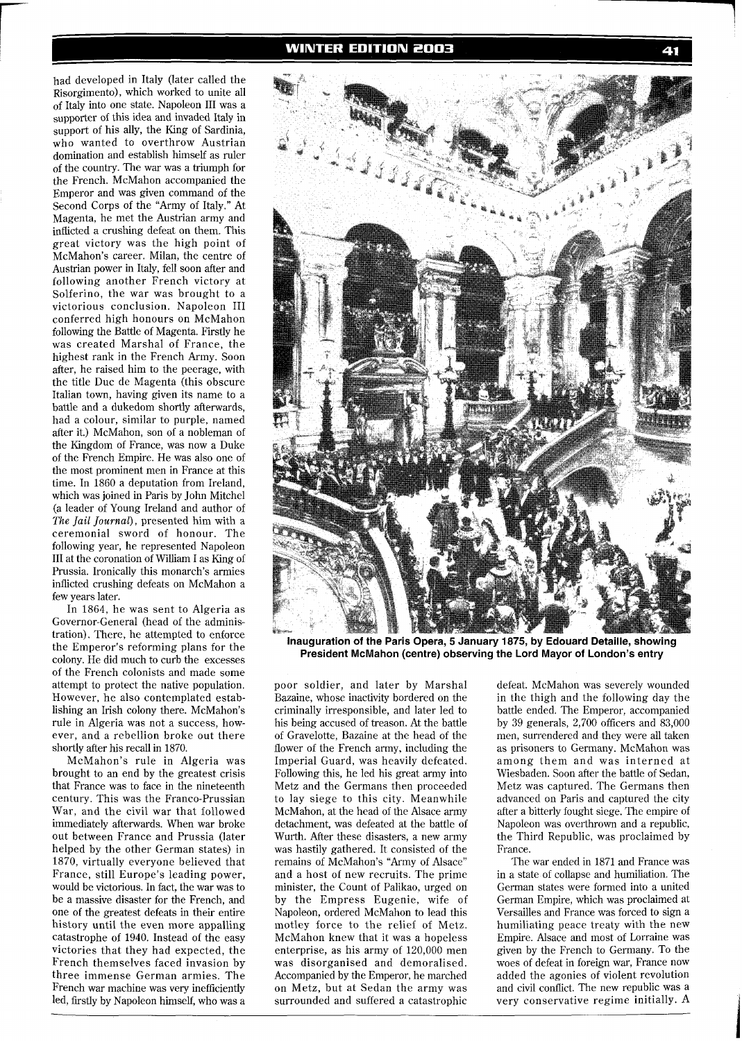had developed in Italy (later called the Risorgimento), which worked to unite all of Italy into one state. Napoleon I11 was a supporter of this idea and invaded Italy in support of his ally, the King of Sardinia. who wanted to overthrow Austrian domination and establish himself as ruler of the country. The war was a triumph for the French. McMahon accompanied the Emperor and was given command of the Second Corps of the "Army of Italy." At Magenta, he met the Austrian army and inflicted a crushing defeat on them. This great victory was the high point of McMahon's career. Milan, the centre of Austrian power in Italy, fell soon after and following another French victory at Solferino, the war was brought to a victorious conclusion. Napoleon I11 conferred high honours on McMahon following the Battle of Magenta. Firstly he was created Marshal of France, the highest rank in the French Army. Soon after, he raised him to the peerage, with the title Duc de Magenta (this obscure Italian town, having given its name to a battle and a dukedom shortly afterwards, had a colour, similar to purple, named after it.) McMahon, son of a nobleman of the Kingdom of France, was now a Duke of the French Empire. He was also one of the most prominent men in France at this time. In 1860 a deputation from Ireland, which was joined in Paris by John Mitchel (a leader of Young Ireland and author of The *Jail Journal),* presented him with a ceremonial sword of honour. The following year, he represented Napoleon I11 at the coronation of William I as King of Prussia. Ironically this monarch's armies inflicted crushing defeats on McMahon a few years later.

In 1864, he was sent to Algeria as Governor-General (head of the administration). There, he attempted to enforce the Emperor's reforming plans for the colony. He did much to curb the excesses of the French colonists and made some attempt to protect the native population. However, he also contemplated establishing an Irish colony there. McMahon's rule in Algeria was not a success, however, and a rebellion broke out there shortly after his recall in 1870.

McMahon's rule in Algeria was brought to an end by the greatest crisis that France was to face in the nineteenth century. This was the Franco-Prussian War, and the civil war that followed immediately afterwards. When war broke out between France and Prussia (later helped by the other German states) in 1870, virtually everyone believed that France, still Europe's leading power, would be victorious. In fact, the war was to be a massive disaster for the French, and one of the greatest defeats in their entire history until the even more appalling catastrophe of 1940. Instead of the easy victories that they had expected, the French themselves faced invasion by three immense German armies. The French war machine was very inefficiently led, firstly by Napoleon himself, who was a



**Inauguration of the Paris Opera, 5 January 1875, by Edouard Detaille, showing President McMahon (centre) observing the Lord Mayor of London's entry** 

poor soldier, and later by Marshal Bazaine, whose inactivity bordered on the criminally irresponsible, and later led to his being accused of treason. At the battle of Gravelotte, Bazaine at the head of the flower of the French army, including the Imperial Guard, was heavily defeated. Following this, he led his great army into Metz and the Germans then proceeded to lay siege to this city. Meanwhile McMahon, at the head of the Alsace army detachment, was defeated at the battle of Wurth. After these disasters, a new army was hastily gathered. It consisted of the remains of McMahon's "Army of Alsace" and a host of new recruits. The prime minister, the Count of Palikao, urged on by the Empress Eugenie, wife of Napoleon, ordered McMahon to lead this motley force to the relief of Metz. McMahon knew that it was a hopeless enterprise, as his army of 120,000 men was disorganised and demoralised. Accompanied by the Emperor, he marched on Metz, but at Sedan the army was surrounded and suffered a catastrophic

defeat. McMahon was severely wounded in the thigh and the following day the battle ended. The Emperor, accompanied by 39 generals, 2,700 officers and 83,000 men, surrendered and they were all taken as prisoners to Germany. McMahon was among them and was interned at Wiesbaden. Soon after the battle of Sedan, Metz was captured. The Germans then advanced on Paris and captured the city after a bitterly fought siege. The empire of Napoleon was overthrown and a republic, the Third Republic, was proclaimed by France.

The war ended in 1871 and France was in a state of collapse and humiliation. The German states were formed into a united German Empire, which was proclaimed at Versailles and France was forced to sign a humiliating peace treaty with the new Empire. Alsace and most of Lorraine was given by the French to Germany. To the woes of defeat in foreign war, France now added the agonies of violent revolution and civil conflict. The new republic was a very conservative regime initially. A

41